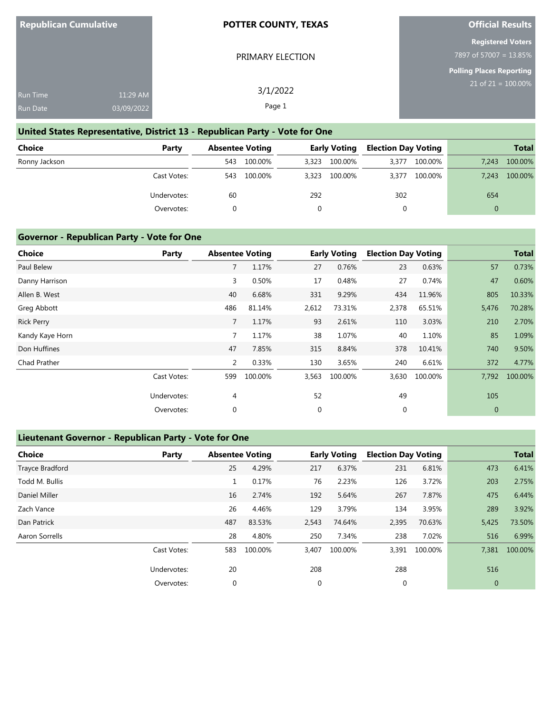PRIMARY ELECTION

3/1/2022 Page 1

**Official Results**

# **Registered Voters**

7897 of 57007 = 13.85%

**Polling Places Reporting** 21 of 21 = 100.00%

| <b>Run Time</b> | $11:29$ AM |
|-----------------|------------|
| <b>Run Date</b> | 03/09/2022 |

## **United States Representative, District 13 - Republican Party - Vote for One**

| Choice        | Party       | <b>Absentee Voting</b> |         | <b>Early Voting</b> |         | <b>Election Day Voting</b> |         |       | <b>Total</b> |
|---------------|-------------|------------------------|---------|---------------------|---------|----------------------------|---------|-------|--------------|
| Ronny Jackson |             | 543                    | 100.00% | 3,323               | 100.00% | 3,377                      | 100.00% | 7,243 | 100.00%      |
|               | Cast Votes: | 543                    | 100.00% | 3.323               | 100.00% | 3,377                      | 100.00% | 7.243 | 100.00%      |
|               | Undervotes: | 60                     |         | 292                 |         | 302                        |         | 654   |              |
|               | Overvotes:  |                        |         |                     |         |                            |         |       |              |

#### **Governor - Republican Party - Vote for One**

| <b>Choice</b>     | Party       | <b>Absentee Voting</b> |         |       | <b>Early Voting</b> | <b>Election Day Voting</b> |         |              | <b>Total</b> |
|-------------------|-------------|------------------------|---------|-------|---------------------|----------------------------|---------|--------------|--------------|
| Paul Belew        |             | $\overline{7}$         | 1.17%   | 27    | 0.76%               | 23                         | 0.63%   | 57           | 0.73%        |
| Danny Harrison    |             | 3                      | 0.50%   | 17    | 0.48%               | 27                         | 0.74%   | 47           | 0.60%        |
| Allen B. West     |             | 40                     | 6.68%   | 331   | 9.29%               | 434                        | 11.96%  | 805          | 10.33%       |
| Greg Abbott       |             | 486                    | 81.14%  | 2,612 | 73.31%              | 2,378                      | 65.51%  | 5,476        | 70.28%       |
| <b>Rick Perry</b> |             | 7                      | 1.17%   | 93    | 2.61%               | 110                        | 3.03%   | 210          | 2.70%        |
| Kandy Kaye Horn   |             | $\overline{7}$         | 1.17%   | 38    | 1.07%               | 40                         | 1.10%   | 85           | 1.09%        |
| Don Huffines      |             | 47                     | 7.85%   | 315   | 8.84%               | 378                        | 10.41%  | 740          | 9.50%        |
| Chad Prather      |             | 2                      | 0.33%   | 130   | 3.65%               | 240                        | 6.61%   | 372          | 4.77%        |
|                   | Cast Votes: | 599                    | 100.00% | 3,563 | 100.00%             | 3,630                      | 100.00% | 7,792        | 100.00%      |
|                   | Undervotes: | 4                      |         | 52    |                     | 49                         |         | 105          |              |
|                   | Overvotes:  | 0                      |         | 0     |                     | 0                          |         | $\mathbf{0}$ |              |

## **Lieutenant Governor - Republican Party - Vote for One**

| <b>Choice</b>   | Party       |     | <b>Absentee Voting</b> |             | <b>Early Voting</b> | <b>Election Day Voting</b> |         |                | <b>Total</b> |
|-----------------|-------------|-----|------------------------|-------------|---------------------|----------------------------|---------|----------------|--------------|
| Trayce Bradford |             | 25  | 4.29%                  | 217         | 6.37%               | 231                        | 6.81%   | 473            | 6.41%        |
| Todd M. Bullis  |             |     | 0.17%                  | 76          | 2.23%               | 126                        | 3.72%   | 203            | 2.75%        |
| Daniel Miller   |             | 16  | 2.74%                  | 192         | 5.64%               | 267                        | 7.87%   | 475            | 6.44%        |
| Zach Vance      |             | 26  | 4.46%                  | 129         | 3.79%               | 134                        | 3.95%   | 289            | 3.92%        |
| Dan Patrick     |             | 487 | 83.53%                 | 2,543       | 74.64%              | 2,395                      | 70.63%  | 5,425          | 73.50%       |
| Aaron Sorrells  |             | 28  | 4.80%                  | 250         | 7.34%               | 238                        | 7.02%   | 516            | 6.99%        |
|                 | Cast Votes: | 583 | 100.00%                | 3,407       | 100.00%             | 3,391                      | 100.00% | 7,381          | 100.00%      |
|                 | Undervotes: | 20  |                        | 208         |                     | 288                        |         | 516            |              |
|                 | Overvotes:  | 0   |                        | $\mathbf 0$ |                     | 0                          |         | $\overline{0}$ |              |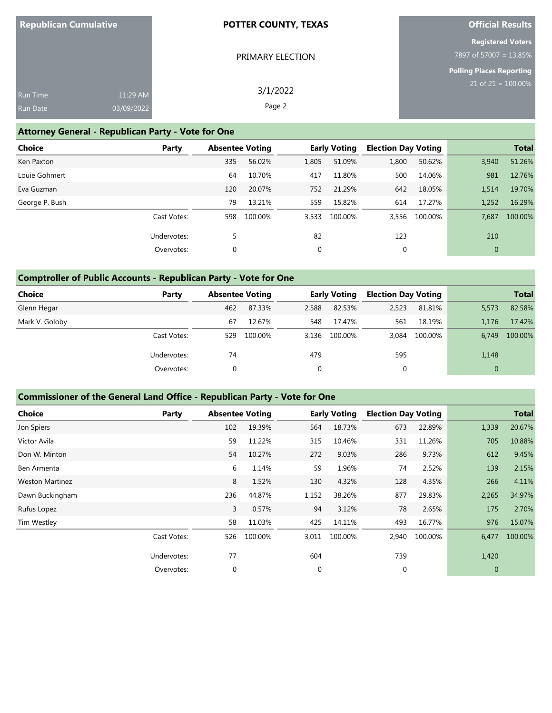# **Official Results**

|                               |                  | <b>Registered Voters</b>        |
|-------------------------------|------------------|---------------------------------|
|                               | PRIMARY ELECTION | 7897 of 57007 = 13.85%          |
|                               |                  | <b>Polling Places Reporting</b> |
| 11:29 AM<br><b>Run Time</b>   | 3/1/2022         | $21$ of $21 = 100.00\%$         |
|                               |                  |                                 |
| 03/09/2022<br><b>Run Date</b> | Page 2           |                                 |

# **Attorney General - Republican Party - Vote for One**

| <b>Choice</b><br>Party |             | <b>Absentee Voting</b> |       | <b>Early Voting</b> |       | <b>Election Day Voting</b> |              | <b>Total</b> |
|------------------------|-------------|------------------------|-------|---------------------|-------|----------------------------|--------------|--------------|
| Ken Paxton             | 335         | 56.02%                 | 1,805 | 51.09%              | 1,800 | 50.62%                     | 3,940        | 51.26%       |
| Louie Gohmert          | 64          | 10.70%                 | 417   | 11.80%              | 500   | 14.06%                     | 981          | 12.76%       |
| Eva Guzman             | 120         | 20.07%                 | 752   | 21.29%              | 642   | 18.05%                     | 1,514        | 19.70%       |
| George P. Bush         | 79          | 13.21%                 | 559   | 15.82%              | 614   | 17.27%                     | 1,252        | 16.29%       |
| Cast Votes:            | 598         | 100.00%                | 3,533 | 100.00%             | 3,556 | 100.00%                    | 7,687        | 100.00%      |
| Undervotes:            | 5           |                        | 82    |                     | 123   |                            | 210          |              |
| Overvotes:             | $\mathbf 0$ |                        | 0     |                     | 0     |                            | $\mathbf{0}$ |              |

# **Comptroller of Public Accounts - Republican Party - Vote for One**

| Choice         | Party       | <b>Absentee Voting</b> |         | <b>Early Voting</b> |               | <b>Election Day Voting</b> |         |              | <b>Total</b> |
|----------------|-------------|------------------------|---------|---------------------|---------------|----------------------------|---------|--------------|--------------|
| Glenn Hegar    |             | 462                    | 87.33%  | 2,588               | 82.53%        | 2,523                      | 81.81%  | 5,573        | 82.58%       |
| Mark V. Goloby |             | 67                     | 12.67%  | 548                 | 17.47%        | 561                        | 18.19%  | 1.176        | 17.42%       |
|                | Cast Votes: | 529                    | 100.00% |                     | 3,136 100.00% | 3.084                      | 100.00% | 6.749        | 100.00%      |
|                | Undervotes: | 74                     |         | 479                 |               | 595                        |         | 1,148        |              |
|                | Overvotes:  | 0                      |         | 0                   |               | 0                          |         | $\mathbf{0}$ |              |

# **Commissioner of the General Land Office - Republican Party - Vote for One**

| Choice                 | Party       | <b>Absentee Voting</b> |         |             | <b>Early Voting</b> | <b>Election Day Voting</b> |         |       | <b>Total</b> |
|------------------------|-------------|------------------------|---------|-------------|---------------------|----------------------------|---------|-------|--------------|
| Jon Spiers             |             | 102                    | 19.39%  | 564         | 18.73%              | 673                        | 22.89%  | 1,339 | 20.67%       |
| Victor Avila           |             | 59                     | 11.22%  | 315         | 10.46%              | 331                        | 11.26%  | 705   | 10.88%       |
| Don W. Minton          |             | 54                     | 10.27%  | 272         | 9.03%               | 286                        | 9.73%   | 612   | 9.45%        |
| Ben Armenta            |             | 6                      | 1.14%   | 59          | 1.96%               | 74                         | 2.52%   | 139   | 2.15%        |
| <b>Weston Martinez</b> |             | 8                      | 1.52%   | 130         | 4.32%               | 128                        | 4.35%   | 266   | 4.11%        |
| Dawn Buckingham        |             | 236                    | 44.87%  | 1,152       | 38.26%              | 877                        | 29.83%  | 2,265 | 34.97%       |
| Rufus Lopez            |             | 3                      | 0.57%   | 94          | 3.12%               | 78                         | 2.65%   | 175   | 2.70%        |
| Tim Westley            |             | 58                     | 11.03%  | 425         | 14.11%              | 493                        | 16.77%  | 976   | 15.07%       |
|                        | Cast Votes: | 526                    | 100.00% | 3,011       | 100.00%             | 2,940                      | 100.00% | 6,477 | 100.00%      |
|                        | Undervotes: | 77                     |         | 604         |                     | 739                        |         | 1,420 |              |
|                        | Overvotes:  | 0                      |         | $\mathbf 0$ |                     | 0                          |         | 0     |              |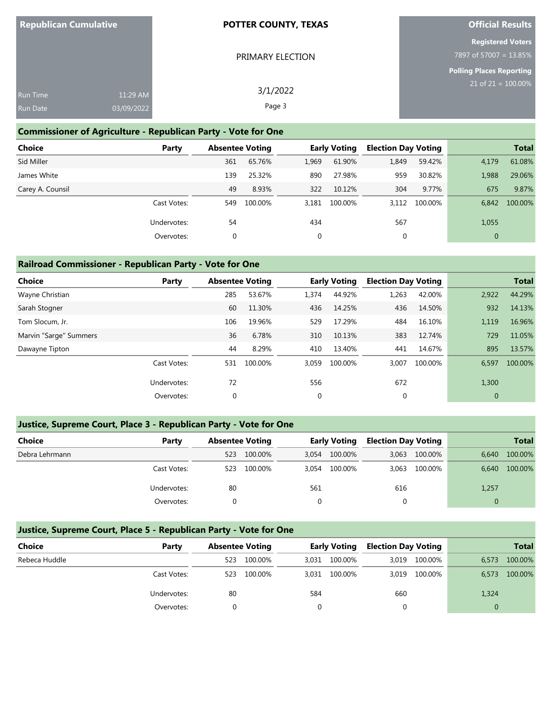| <b>Republican Cumulative</b> |            | <b>POTTER COUNTY, TEXAS</b> | <b>Official Results</b>                             |  |  |
|------------------------------|------------|-----------------------------|-----------------------------------------------------|--|--|
|                              |            | PRIMARY ELECTION            | <b>Registered Voters</b><br>7897 of 57007 = 13.85%  |  |  |
|                              |            |                             | Polling Places Reporting<br>$21$ of $21 = 100.00\%$ |  |  |
| Run Time                     | 11:29 AM   | 3/1/2022                    |                                                     |  |  |
| Run Date                     | 03/09/2022 | Page 3                      |                                                     |  |  |

## **Commissioner of Agriculture - Republican Party - Vote for One**

| <b>Choice</b>    | Party       | <b>Absentee Voting</b> |         |             | <b>Early Voting</b> |       | <b>Election Day Voting</b> |              | <b>Total</b> |
|------------------|-------------|------------------------|---------|-------------|---------------------|-------|----------------------------|--------------|--------------|
| Sid Miller       |             | 361                    | 65.76%  | 1,969       | 61.90%              | 1,849 | 59.42%                     | 4,179        | 61.08%       |
| James White      |             | 139                    | 25.32%  | 890         | 27.98%              | 959   | 30.82%                     | 1,988        | 29.06%       |
| Carey A. Counsil |             | 49                     | 8.93%   | 322         | 10.12%              | 304   | 9.77%                      | 675          | 9.87%        |
|                  | Cast Votes: | 549                    | 100.00% | 3.181       | 100.00%             | 3.112 | 100.00%                    | 6.842        | 100.00%      |
|                  | Undervotes: | 54                     |         | 434         |                     | 567   |                            | 1,055        |              |
|                  | Overvotes:  | 0                      |         | $\mathbf 0$ |                     | 0     |                            | $\mathbf{0}$ |              |

## **Railroad Commissioner - Republican Party - Vote for One**

| <b>Choice</b>          | Party       | <b>Absentee Voting</b> |         |       | <b>Early Voting</b> | <b>Election Day Voting</b> |         |              | <b>Total</b> |
|------------------------|-------------|------------------------|---------|-------|---------------------|----------------------------|---------|--------------|--------------|
| Wayne Christian        |             | 285                    | 53.67%  | 1,374 | 44.92%              | 1,263                      | 42.00%  | 2,922        | 44.29%       |
| Sarah Stogner          |             | 60                     | 11.30%  | 436   | 14.25%              | 436                        | 14.50%  | 932          | 14.13%       |
| Tom Slocum, Jr.        |             | 106                    | 19.96%  | 529   | 17.29%              | 484                        | 16.10%  | 1,119        | 16.96%       |
| Marvin "Sarge" Summers |             | 36                     | 6.78%   | 310   | 10.13%              | 383                        | 12.74%  | 729          | 11.05%       |
| Dawayne Tipton         |             | 44                     | 8.29%   | 410   | 13.40%              | 441                        | 14.67%  | 895          | 13.57%       |
|                        | Cast Votes: | 531                    | 100.00% | 3,059 | 100.00%             | 3,007                      | 100.00% | 6,597        | 100.00%      |
|                        | Undervotes: | 72                     |         | 556   |                     | 672                        |         | 1,300        |              |
|                        | Overvotes:  | $\mathbf 0$            |         | 0     |                     | $\mathbf 0$                |         | $\mathbf{0}$ |              |

## **Justice, Supreme Court, Place 3 - Republican Party - Vote for One**

| <b>Choice</b>  | Party       | <b>Absentee Voting</b> |         |       | <b>Early Voting</b> | <b>Election Day Voting</b> |         |       | <b>Total</b> |
|----------------|-------------|------------------------|---------|-------|---------------------|----------------------------|---------|-------|--------------|
| Debra Lehrmann |             | 523                    | 100.00% | 3,054 | 100.00%             | 3.063                      | 100.00% | 6,640 | 100.00%      |
|                | Cast Votes: | 523                    | 100.00% | 3,054 | 100.00%             | 3.063                      | 100.00% | 6.640 | 100.00%      |
|                | Undervotes: | 80                     |         | 561   |                     | 616                        |         | 1,257 |              |
|                | Overvotes:  |                        |         |       |                     |                            |         |       |              |

## **Justice, Supreme Court, Place 5 - Republican Party - Vote for One**

| Choice        | Party       |     | <b>Absentee Voting</b> |       | <b>Early Voting</b> | <b>Election Day Voting</b> |         |       | <b>Total</b> |
|---------------|-------------|-----|------------------------|-------|---------------------|----------------------------|---------|-------|--------------|
| Rebeca Huddle |             | 523 | 100.00%                | 3,031 | 100.00%             | 3.019                      | 100.00% | 6,573 | 100.00%      |
|               | Cast Votes: | 523 | 100.00%                | 3,031 | 100.00%             | 3,019                      | 100.00% | 6,573 | 100.00%      |
|               | Undervotes: | 80  |                        | 584   |                     | 660                        |         | 1,324 |              |
|               | Overvotes:  |     |                        |       |                     |                            |         |       |              |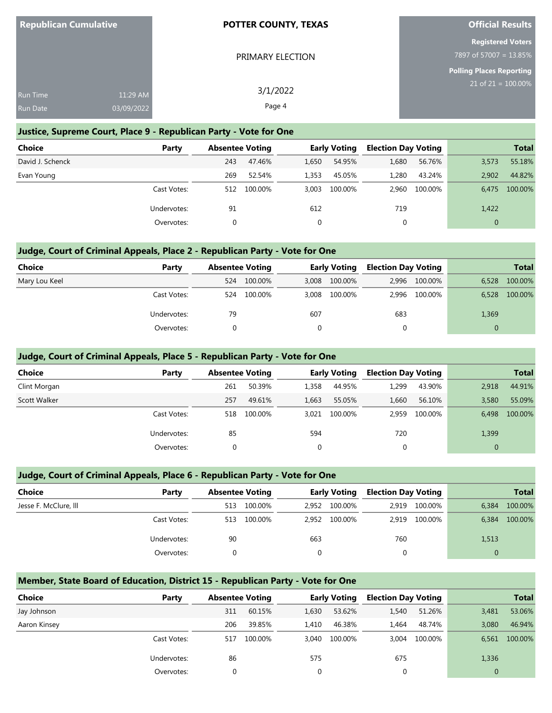| <b>Republican Cumulative</b> |            | <b>POTTER COUNTY, TEXAS</b> | <b>Official Results</b>         |  |  |
|------------------------------|------------|-----------------------------|---------------------------------|--|--|
|                              |            |                             | <b>Registered Voters</b>        |  |  |
|                              |            | PRIMARY ELECTION            | 7897 of 57007 = 13.85%          |  |  |
|                              |            |                             | <b>Polling Places Reporting</b> |  |  |
| Run Time                     | 11:29 AM   | 3/1/2022                    | $21$ of $21 = 100.00\%$         |  |  |
| Run Date                     | 03/09/2022 | Page 4                      |                                 |  |  |

## **Justice, Supreme Court, Place 9 - Republican Party - Vote for One**

| <b>Choice</b>    | Party       | <b>Absentee Voting</b> |         |       | <b>Early Voting</b> | <b>Election Day Voting</b> |         |              | <b>Total</b> |
|------------------|-------------|------------------------|---------|-------|---------------------|----------------------------|---------|--------------|--------------|
| David J. Schenck |             | 243                    | 47.46%  | 1,650 | 54.95%              | 1,680                      | 56.76%  | 3,573        | 55.18%       |
| Evan Young       |             | 269                    | 52.54%  | 1,353 | 45.05%              | 1,280                      | 43.24%  | 2.902        | 44.82%       |
|                  | Cast Votes: | 512                    | 100.00% | 3,003 | 100.00%             | 2.960                      | 100.00% | 6.475        | 100.00%      |
|                  | Undervotes: | 91                     |         | 612   |                     | 719                        |         | 1,422        |              |
|                  | Overvotes:  |                        |         |       |                     | 0                          |         | $\mathbf{0}$ |              |

## **Judge, Court of Criminal Appeals, Place 2 - Republican Party - Vote for One**

| <b>Choice</b> | Party       | <b>Absentee Voting</b> |         |       | <b>Early Voting</b> | <b>Election Day Voting</b> |               |              | <b>Total</b> |
|---------------|-------------|------------------------|---------|-------|---------------------|----------------------------|---------------|--------------|--------------|
| Mary Lou Keel |             | 524                    | 100.00% | 3,008 | 100.00%             |                            | 2,996 100.00% | 6.528        | 100.00%      |
|               | Cast Votes: | 524                    | 100.00% | 3.008 | 100.00%             |                            | 2,996 100.00% | 6,528        | 100.00%      |
|               | Undervotes: | 79                     |         | 607   |                     | 683                        |               | 1,369        |              |
|               | Overvotes:  |                        |         |       |                     | 0                          |               | $\mathbf{0}$ |              |

## **Judge, Court of Criminal Appeals, Place 5 - Republican Party - Vote for One**

| <b>Choice</b> | Party       | <b>Absentee Voting</b> |         |       | <b>Early Voting</b> | <b>Election Day Voting</b> |         |          | <b>Total</b> |
|---------------|-------------|------------------------|---------|-------|---------------------|----------------------------|---------|----------|--------------|
| Clint Morgan  |             | 261                    | 50.39%  | 1,358 | 44.95%              | 1,299                      | 43.90%  | 2.918    | 44.91%       |
| Scott Walker  |             | 257                    | 49.61%  | 1,663 | 55.05%              | 1.660                      | 56.10%  | 3,580    | 55.09%       |
|               | Cast Votes: | 518                    | 100.00% | 3.021 | 100.00%             | 2.959                      | 100.00% | 6.498    | 100.00%      |
|               | Undervotes: | 85                     |         | 594   |                     | 720                        |         | 1,399    |              |
|               | Overvotes:  |                        |         | 0     |                     |                            |         | $\Omega$ |              |

## **Judge, Court of Criminal Appeals, Place 6 - Republican Party - Vote for One**

| <b>Choice</b>         | Party       | <b>Absentee Voting</b> |         |       | <b>Early Voting</b> | <b>Election Day Voting</b> |         |          | <b>Total</b> |
|-----------------------|-------------|------------------------|---------|-------|---------------------|----------------------------|---------|----------|--------------|
| Jesse F. McClure, III |             | 513                    | 100.00% | 2.952 | 100.00%             | 2.919                      | 100.00% | 6.384    | 100.00%      |
|                       | Cast Votes: | 513                    | 100.00% | 2.952 | 100.00%             | 2.919                      | 100.00% | 6.384    | 100.00%      |
|                       | Undervotes: | 90                     |         | 663   |                     | 760                        |         | 1,513    |              |
|                       | Overvotes:  |                        |         |       |                     |                            |         | $\Omega$ |              |

## **Member, State Board of Education, District 15 - Republican Party - Vote for One**

| Choice       | Party       | <b>Absentee Voting</b> |         |       | <b>Early Voting</b> | <b>Election Day Voting</b> |         |              | <b>Total</b> |
|--------------|-------------|------------------------|---------|-------|---------------------|----------------------------|---------|--------------|--------------|
| Jay Johnson  |             | 311                    | 60.15%  | 1,630 | 53.62%              | 1,540                      | 51.26%  | 3,481        | 53.06%       |
| Aaron Kinsey |             | 206                    | 39.85%  | 1.410 | 46.38%              | 1.464                      | 48.74%  | 3.080        | 46.94%       |
|              | Cast Votes: | 517                    | 100.00% | 3.040 | 100.00%             | 3.004                      | 100.00% | 6.561        | 100.00%      |
|              | Undervotes: | 86                     |         | 575   |                     | 675                        |         | 1,336        |              |
|              | Overvotes:  |                        |         | 0     |                     | 0                          |         | $\mathbf{0}$ |              |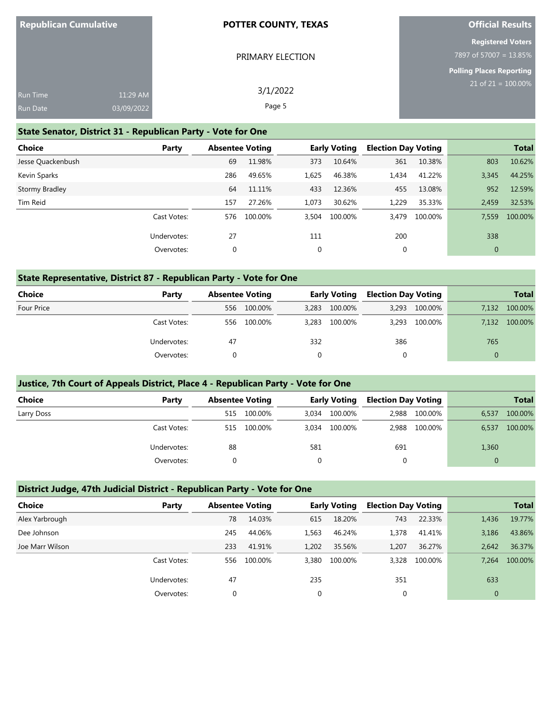|  | <b>Republican Cumulative</b> |  |
|--|------------------------------|--|
|  |                              |  |

PRIMARY ELECTION

# **Official Results**

| <b>Registered Voters</b>  |  |
|---------------------------|--|
| $17897$ of 57007 = 13.85% |  |

| <b>Polling Places Reporting</b> |                       |
|---------------------------------|-----------------------|
|                                 | 21 of $21 = 100.00\%$ |

| <b>Run Time</b> | 11:29 AM   | 3/1/2022 | $21$ of $21 = 1$ |
|-----------------|------------|----------|------------------|
| <b>Run Date</b> | 03/09/2022 | Page 5   |                  |

## **State Senator, District 31 - Republican Party - Vote for One**

| <b>Choice</b>     | Party       | <b>Absentee Voting</b> |         |       | <b>Early Voting</b> | <b>Election Day Voting</b> |         |             | <b>Total</b> |
|-------------------|-------------|------------------------|---------|-------|---------------------|----------------------------|---------|-------------|--------------|
| Jesse Quackenbush |             | 69                     | 11.98%  | 373   | 10.64%              | 361                        | 10.38%  | 803         | 10.62%       |
| Kevin Sparks      |             | 286                    | 49.65%  | 1,625 | 46.38%              | 1,434                      | 41.22%  | 3,345       | 44.25%       |
| Stormy Bradley    |             | 64                     | 11.11%  | 433   | 12.36%              | 455                        | 13.08%  | 952         | 12.59%       |
| Tim Reid          |             | 157                    | 27.26%  | 1,073 | 30.62%              | 1,229                      | 35.33%  | 2,459       | 32.53%       |
|                   | Cast Votes: | 576                    | 100.00% | 3,504 | 100.00%             | 3.479                      | 100.00% | 7,559       | 100.00%      |
|                   | Undervotes: | 27                     |         | 111   |                     | 200                        |         | 338         |              |
|                   | Overvotes:  | 0                      |         | 0     |                     | 0                          |         | $\mathbf 0$ |              |

## **State Representative, District 87 - Republican Party - Vote for One**

| <b>Choice</b> | Party       | <b>Absentee Voting</b> |         | <b>Early Voting</b> |         | <b>Election Day Voting</b> |               |       | <b>Total</b> |
|---------------|-------------|------------------------|---------|---------------------|---------|----------------------------|---------------|-------|--------------|
| Four Price    |             | 556                    | 100.00% | 3,283               | 100.00% |                            | 3,293 100.00% | 7.132 | 100.00%      |
|               | Cast Votes: | 556                    | 100.00% | 3.283               | 100.00% |                            | 3,293 100.00% | 7.132 | 100.00%      |
|               | Undervotes: | 47                     |         | 332                 |         | 386                        |               | 765   |              |
|               | Overvotes:  |                        |         |                     |         | 0                          |               | 0     |              |

#### **Justice, 7th Court of Appeals District, Place 4 - Republican Party - Vote for One**

| <b>Choice</b> | Party       |     | <b>Absentee Voting</b> |          | <b>Early Voting</b> | <b>Election Day Voting</b> |               |          | <b>Total</b> |
|---------------|-------------|-----|------------------------|----------|---------------------|----------------------------|---------------|----------|--------------|
| Larry Doss    |             | 515 | 100.00%                | 3,034    | 100.00%             |                            | 2,988 100.00% | 6,537    | 100.00%      |
|               | Cast Votes: | 515 | 100.00%                | 3.034    | 100.00%             |                            | 2,988 100.00% | 6,537    | 100.00%      |
|               | Undervotes: | 88  |                        | 581      |                     | 691                        |               | 1,360    |              |
|               | Overvotes:  |     |                        | $\Omega$ |                     | 0                          |               | $\Omega$ |              |

## **District Judge, 47th Judicial District - Republican Party - Vote for One**

| Choice          | Party       | <b>Absentee Voting</b> |         |          | <b>Early Voting</b> | <b>Election Day Voting</b> |         |              | <b>Total</b> |
|-----------------|-------------|------------------------|---------|----------|---------------------|----------------------------|---------|--------------|--------------|
| Alex Yarbrough  |             | 78                     | 14.03%  | 615      | 18.20%              | 743                        | 22.33%  | 1,436        | 19.77%       |
| Dee Johnson     |             | 245                    | 44.06%  | 1,563    | 46.24%              | 1,378                      | 41.41%  | 3,186        | 43.86%       |
| Joe Marr Wilson |             | 233                    | 41.91%  | 1.202    | 35.56%              | 1.207                      | 36.27%  | 2.642        | 36.37%       |
|                 | Cast Votes: | 556                    | 100.00% | 3,380    | 100.00%             | 3,328                      | 100.00% | 7.264        | 100.00%      |
|                 | Undervotes: | 47                     |         | 235      |                     | 351                        |         | 633          |              |
|                 | Overvotes:  | 0                      |         | $\Omega$ |                     | 0                          |         | $\mathbf{0}$ |              |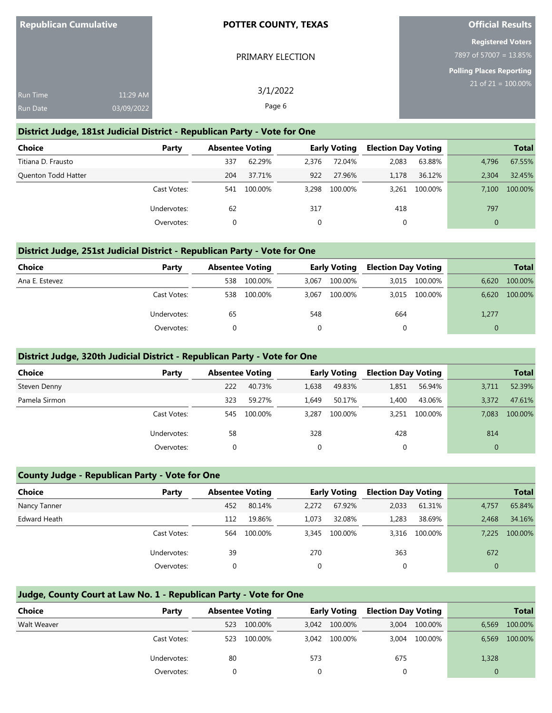| <b>Republican Cumulative</b> |            | <b>POTTER COUNTY, TEXAS</b> | <b>Official Results</b>  |
|------------------------------|------------|-----------------------------|--------------------------|
|                              |            |                             | <b>Registered Voters</b> |
|                              |            | PRIMARY ELECTION            | 7897 of 57007 = 13.85%   |
|                              |            |                             | Polling Places Reporting |
| Run Time                     | 11:29 AM   | 3/1/2022                    | $21$ of 21 = 100.00%     |
| Run Date                     | 03/09/2022 | Page 6                      |                          |

#### **District Judge, 181st Judicial District - Republican Party - Vote for One**

| <b>Choice</b>              | Party       | <b>Absentee Voting</b> |         |       | <b>Early Voting</b> | <b>Election Day Voting</b> |         |              | <b>Total</b> |
|----------------------------|-------------|------------------------|---------|-------|---------------------|----------------------------|---------|--------------|--------------|
| Titiana D. Frausto         |             | 337                    | 62.29%  | 2.376 | 72.04%              | 2,083                      | 63.88%  | 4.796        | 67.55%       |
| <b>Quenton Todd Hatter</b> |             | 204                    | 37.71%  | 922   | 27.96%              | 1.178                      | 36.12%  | 2.304        | 32.45%       |
|                            | Cast Votes: | 541                    | 100.00% | 3.298 | 100.00%             | 3,261                      | 100.00% | 7.100        | 100.00%      |
|                            | Undervotes: | 62                     |         | 317   |                     | 418                        |         | 797          |              |
|                            | Overvotes:  |                        |         |       |                     | 0                          |         | $\mathbf{0}$ |              |

## **District Judge, 251st Judicial District - Republican Party - Vote for One**

| <b>Choice</b>  | Party       | <b>Absentee Voting</b> |         | <b>Early Voting</b> |         | <b>Election Day Voting</b> |               | <b>Total</b> |         |
|----------------|-------------|------------------------|---------|---------------------|---------|----------------------------|---------------|--------------|---------|
| Ana E. Estevez |             | 538                    | 100.00% | 3.067               | 100.00% |                            | 3,015 100.00% | 6,620        | 100.00% |
|                | Cast Votes: | 538                    | 100.00% | 3,067               | 100.00% | 3,015                      | 100.00%       | 6,620        | 100.00% |
|                | Undervotes: | 65                     |         | 548                 |         | 664                        |               | 1,277        |         |
|                | Overvotes:  |                        |         |                     |         |                            |               |              |         |

#### **District Judge, 320th Judicial District - Republican Party - Vote for One**

| <b>Choice</b> | Party       | <b>Absentee Voting</b> |         |       | <b>Early Voting</b> | <b>Election Day Voting</b> |         |       | <b>Total</b> |
|---------------|-------------|------------------------|---------|-------|---------------------|----------------------------|---------|-------|--------------|
| Steven Denny  |             | 222                    | 40.73%  | 1,638 | 49.83%              | 1,851                      | 56.94%  | 3,711 | 52.39%       |
| Pamela Sirmon |             | 323                    | 59.27%  | 1,649 | 50.17%              | 1,400                      | 43.06%  | 3,372 | 47.61%       |
|               | Cast Votes: | 545                    | 100.00% | 3.287 | 100.00%             | 3.251                      | 100.00% | 7,083 | 100.00%      |
|               | Undervotes: | 58                     |         | 328   |                     | 428                        |         | 814   |              |
|               | Overvotes:  |                        |         | 0     |                     |                            |         |       |              |

## **County Judge - Republican Party - Vote for One**

| <b>Choice</b> | Party       | <b>Absentee Voting</b> |         |          | <b>Early Voting</b> | <b>Election Day Voting</b> |         |              | <b>Total</b> |
|---------------|-------------|------------------------|---------|----------|---------------------|----------------------------|---------|--------------|--------------|
| Nancy Tanner  |             | 452                    | 80.14%  | 2.272    | 67.92%              | 2,033                      | 61.31%  | 4,757        | 65.84%       |
| Edward Heath  |             | 112                    | 19.86%  | 1,073    | 32.08%              | 1,283                      | 38.69%  | 2.468        | 34.16%       |
|               | Cast Votes: | 564                    | 100.00% | 3.345    | 100.00%             | 3,316                      | 100.00% | 7.225        | 100.00%      |
|               | Undervotes: | 39                     |         | 270      |                     | 363                        |         | 672          |              |
|               | Overvotes:  | $\Omega$               |         | $\Omega$ |                     | 0                          |         | $\mathbf{0}$ |              |

## **Judge, County Court at Law No. 1 - Republican Party - Vote for One**

| <b>Choice</b> | Party       | <b>Absentee Voting</b> |         | <b>Early Voting</b> |               | <b>Election Day Voting</b> |         |       | <b>Total</b> |
|---------------|-------------|------------------------|---------|---------------------|---------------|----------------------------|---------|-------|--------------|
| Walt Weaver   |             | 523                    | 100.00% | 3.042               | 100.00%       | 3.004                      | 100.00% | 6.569 | 100.00%      |
|               | Cast Votes: | 523                    | 100.00% |                     | 3,042 100.00% | 3.004                      | 100.00% | 6.569 | 100.00%      |
|               | Undervotes: | 80                     |         | 573                 |               | 675                        |         | 1,328 |              |
|               | Overvotes:  |                        |         |                     |               |                            |         |       |              |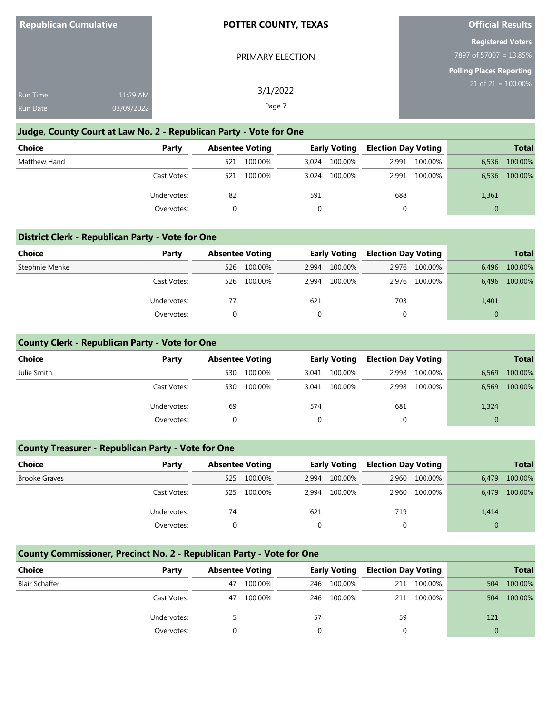| <b>Republican Cumulative</b> |  |
|------------------------------|--|
|------------------------------|--|

PRIMARY ELECTION

# **Official Results**

|                        |  | <b>Registered Voters</b> |  |  |
|------------------------|--|--------------------------|--|--|
| 7897 of 57007 = 13.85% |  |                          |  |  |

**Polling Places Reporting**

|                 |            |          | <b>Polling Places Reporting</b> |
|-----------------|------------|----------|---------------------------------|
| <b>Run Time</b> | 11:29 AM   | 3/1/2022 | $21$ of $21 = 100.00\%$         |
| <b>Run Date</b> | 03/09/2022 | Page 7   |                                 |

## **Judge, County Court at Law No. 2 - Republican Party - Vote for One**

| <b>Choice</b> | Party       | <b>Absentee Voting</b> |         | <b>Early Voting</b> |         | <b>Election Day Voting</b> |               | <b>Total</b>   |         |
|---------------|-------------|------------------------|---------|---------------------|---------|----------------------------|---------------|----------------|---------|
| Matthew Hand  |             | 521                    | 100.00% | 3.024               | 100.00% |                            | 2,991 100.00% | 6,536          | 100.00% |
|               | Cast Votes: | 521                    | 100.00% | 3.024               | 100.00% |                            | 2,991 100.00% | 6,536          | 100.00% |
|               | Undervotes: | 82                     |         | 591                 |         | 688                        |               | 1,361          |         |
|               | Overvotes:  |                        |         |                     |         |                            |               | $\overline{0}$ |         |

## **District Clerk - Republican Party - Vote for One**

| Choice         | Party       | <b>Absentee Voting</b> |         | <b>Early Voting</b> |         | <b>Election Day Voting</b> |               |          | <b>Total</b> |
|----------------|-------------|------------------------|---------|---------------------|---------|----------------------------|---------------|----------|--------------|
| Stephnie Menke |             | 526                    | 100.00% | 2.994               | 100.00% |                            | 2,976 100.00% | 6.496    | 100.00%      |
|                | Cast Votes: | 526                    | 100.00% | 2.994               | 100.00% |                            | 2.976 100.00% | 6.496    | 100.00%      |
|                | Undervotes: |                        |         | 621                 |         | 703                        |               | 1,401    |              |
|                | Overvotes:  |                        |         |                     |         |                            |               | $\Omega$ |              |

## **County Clerk - Republican Party - Vote for One**

| <b>Choice</b> | Party       | <b>Absentee Voting</b> |         | <b>Early Voting</b> |         | <b>Election Day Voting</b> |         | <b>Total</b> |         |
|---------------|-------------|------------------------|---------|---------------------|---------|----------------------------|---------|--------------|---------|
| Julie Smith   |             | 530                    | 100.00% | 3,041               | 100.00% | 2,998                      | 100.00% | 6,569        | 100.00% |
|               | Cast Votes: | 530                    | 100.00% | 3.041               | 100.00% | 2.998                      | 100.00% | 6,569        | 100.00% |
|               | Undervotes: | 69                     |         | 574                 |         | 681                        |         | 1,324        |         |
|               | Overvotes:  |                        |         | $\mathbf{0}$        |         | 0                          |         | $\mathbf{0}$ |         |
|               |             |                        |         |                     |         |                            |         |              |         |

## **County Treasurer - Republican Party - Vote for One**

| <b>Choice</b>        | Party       | <b>Absentee Voting</b> |         | <b>Early Voting</b> |         | <b>Election Day Voting</b> |         | <b>Total</b> |         |
|----------------------|-------------|------------------------|---------|---------------------|---------|----------------------------|---------|--------------|---------|
| <b>Brooke Graves</b> |             | 525                    | 100.00% | 2.994               | 100.00% | 2.960                      | 100.00% | 6.479        | 100.00% |
|                      | Cast Votes: | 525                    | 100.00% | 2.994               | 100.00% | 2.960                      | 100.00% | 6.479        | 100.00% |
|                      | Undervotes: | 74                     |         | 621                 |         | 719                        |         | 1,414        |         |
|                      | Overvotes:  |                        |         |                     |         |                            |         | 0            |         |

# **County Commissioner, Precinct No. 2 - Republican Party - Vote for One**

| <b>Choice</b>         | Party       | <b>Absentee Voting</b> |         |     | <b>Early Voting</b> |    | <b>Election Day Voting</b> |     | <b>Total</b> |
|-----------------------|-------------|------------------------|---------|-----|---------------------|----|----------------------------|-----|--------------|
| <b>Blair Schaffer</b> |             | 47                     | 100.00% | 246 | 100.00%             |    | 211 100.00%                | 504 | 100.00%      |
|                       | Cast Votes: | 47                     | 100.00% | 246 | 100.00%             |    | 211 100.00%                | 504 | 100.00%      |
|                       | Undervotes: |                        |         | 57  |                     | 59 |                            | 121 |              |
|                       | Overvotes:  |                        |         |     |                     |    |                            |     |              |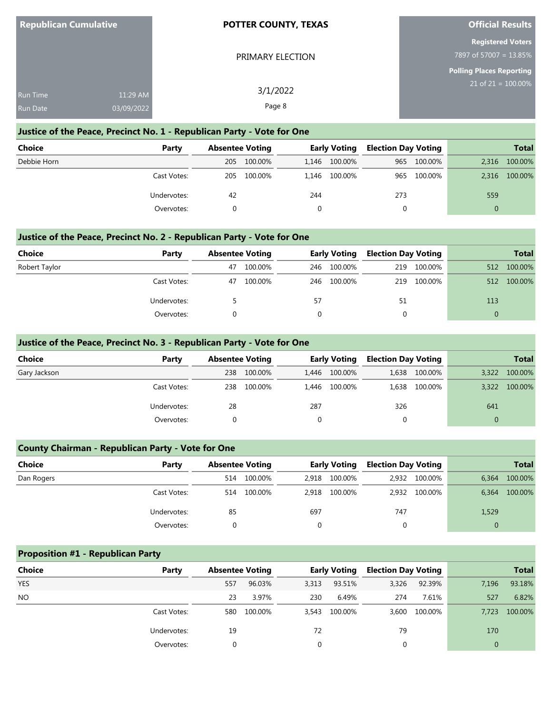| <b>Republican Cumulative</b> |  |
|------------------------------|--|
|                              |  |

PRIMARY ELECTION

# **Official Results**

| <b>Registered Voters</b> |  |
|--------------------------|--|
| $897$ of 57007 = 13.85%  |  |

**Polling Places Reporting**

| <b>Run Time</b> | 11:29 AM   | 3/1/2022 | $21$ of $21 = 100.00\%$ |
|-----------------|------------|----------|-------------------------|
| <b>Run Date</b> | 03/09/2022 | Page 8   |                         |

## **Justice of the Peace, Precinct No. 1 - Republican Party - Vote for One**

| Choice      | Party       | <b>Absentee Voting</b> |         | <b>Early Voting</b> |               | <b>Election Day Voting</b> |         | <b>Total</b> |         |
|-------------|-------------|------------------------|---------|---------------------|---------------|----------------------------|---------|--------------|---------|
| Debbie Horn |             | 205                    | 100.00% |                     | 1,146 100.00% | 965                        | 100.00% | 2,316        | 100.00% |
|             | Cast Votes: | 205                    | 100.00% |                     | 1,146 100.00% | 965                        | 100.00% | 2,316        | 100.00% |
|             | Undervotes: | 42                     |         | 244                 |               | 273                        |         | 559          |         |
|             | Overvotes:  |                        |         |                     |               |                            |         |              |         |

## **Justice of the Peace, Precinct No. 2 - Republican Party - Vote for One**

| Choice        | Party       | <b>Absentee Voting</b> |         | <b>Early Voting</b> |         | <b>Election Day Voting</b> |         | <b>Total</b> |         |
|---------------|-------------|------------------------|---------|---------------------|---------|----------------------------|---------|--------------|---------|
| Robert Taylor |             | 47                     | 100.00% | 246                 | 100.00% | 219                        | 100.00% | 512          | 100.00% |
|               | Cast Votes: | 47                     | 100.00% | 246                 | 100.00% | 219                        | 100.00% | 512          | 100.00% |
|               | Undervotes: |                        |         | 57                  |         | 51                         |         | 113          |         |
|               | Overvotes:  |                        |         |                     |         |                            |         |              |         |

## **Justice of the Peace, Precinct No. 3 - Republican Party - Vote for One**

| <b>Choice</b> | Party       | <b>Absentee Voting</b> |         | <b>Early Voting</b> |         | <b>Election Day Voting</b> |               |          | <b>Total</b> |
|---------------|-------------|------------------------|---------|---------------------|---------|----------------------------|---------------|----------|--------------|
| Gary Jackson  |             | 238                    | 100.00% | 1,446               | 100.00% |                            | 1,638 100.00% | 3,322    | 100.00%      |
|               | Cast Votes: | 238                    | 100.00% | 1.446               | 100.00% | 1.638                      | 100.00%       | 3,322    | 100.00%      |
|               | Undervotes: | 28                     |         | 287                 |         | 326                        |               | 641      |              |
|               | Overvotes:  |                        |         | $\Omega$            |         | 0                          |               | $\Omega$ |              |

## **County Chairman - Republican Party - Vote for One**

| <b>Choice</b> | Party       | <b>Absentee Voting</b> |         |       | <b>Early Voting</b> | <b>Election Day Voting</b> |               |       | <b>Total</b> |
|---------------|-------------|------------------------|---------|-------|---------------------|----------------------------|---------------|-------|--------------|
| Dan Rogers    |             | 514                    | 100.00% | 2.918 | 100.00%             |                            | 2,932 100.00% | 6,364 | 100.00%      |
|               | Cast Votes: | 514                    | 100.00% | 2.918 | 100.00%             |                            | 2.932 100.00% | 6,364 | 100.00%      |
|               | Undervotes: | 85                     |         | 697   |                     | 747                        |               | 1,529 |              |
|               | Overvotes:  |                        |         |       |                     |                            |               | 0     |              |

# **Proposition #1 - Republican Party**

| <b>Choice</b> | Party       | <b>Absentee Voting</b> |         |          | <b>Early Voting</b> | <b>Election Day Voting</b> |               |       | <b>Total</b> |
|---------------|-------------|------------------------|---------|----------|---------------------|----------------------------|---------------|-------|--------------|
| <b>YES</b>    |             | 557                    | 96.03%  | 3,313    | 93.51%              | 3,326                      | 92.39%        | 7,196 | 93.18%       |
| NO.           |             | 23                     | 3.97%   | 230      | 6.49%               | 274                        | 7.61%         | 527   | 6.82%        |
|               | Cast Votes: | 580                    | 100.00% | 3,543    | 100.00%             |                            | 3,600 100.00% | 7.723 | 100.00%      |
|               | Undervotes: | 19                     |         | 72       |                     | 79                         |               | 170   |              |
|               | Overvotes:  |                        |         | $\Omega$ |                     |                            |               |       |              |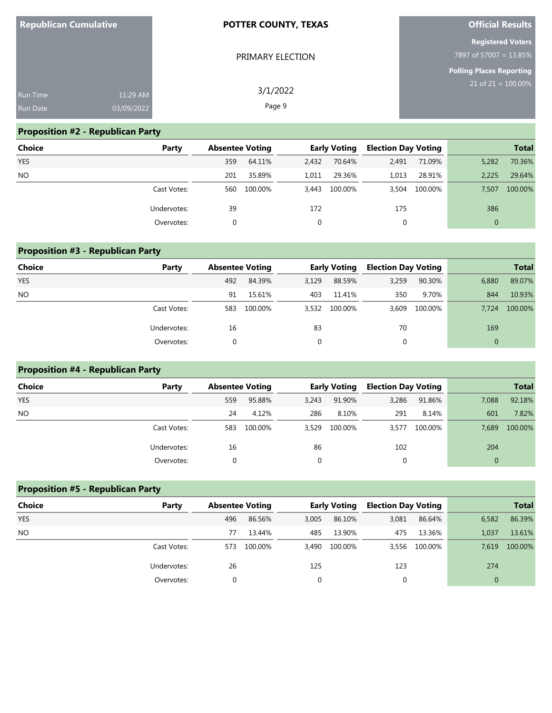| <b>Republican Cumulative</b> |            | <b>POTTER COUNTY, TEXAS</b> | <b>Official Results</b>         |
|------------------------------|------------|-----------------------------|---------------------------------|
|                              |            |                             | <b>Registered Voters</b>        |
|                              |            | PRIMARY ELECTION            | 7897 of 57007 = 13.85%          |
|                              |            |                             | <b>Polling Places Reporting</b> |
| Run Time                     | 11:29 AM   | 3/1/2022                    | $21$ of $21 = 100.00\%$         |
| <b>Run Date</b>              | 03/09/2022 | Page 9                      |                                 |

# **Proposition #2 - Republican Party**

| <b>Choice</b> | Party       | <b>Absentee Voting</b> |         |       | <b>Early Voting</b> | <b>Election Day Voting</b> |         |                | <b>Total</b> |
|---------------|-------------|------------------------|---------|-------|---------------------|----------------------------|---------|----------------|--------------|
| <b>YES</b>    |             | 359                    | 64.11%  | 2,432 | 70.64%              | 2,491                      | 71.09%  | 5,282          | 70.36%       |
| <b>NO</b>     |             | 201                    | 35.89%  | 1,011 | 29.36%              | 1,013                      | 28.91%  | 2.225          | 29.64%       |
|               | Cast Votes: | 560                    | 100.00% |       | 3,443 100.00%       | 3,504                      | 100.00% | 7.507          | 100.00%      |
|               | Undervotes: | 39                     |         | 172   |                     | 175                        |         | 386            |              |
|               | Overvotes:  | 0                      |         |       |                     | 0                          |         | $\overline{0}$ |              |

| <b>Proposition #3 - Republican Party</b> |             |                        |         |       |                     |                            |         |              |              |  |  |
|------------------------------------------|-------------|------------------------|---------|-------|---------------------|----------------------------|---------|--------------|--------------|--|--|
| <b>Choice</b>                            | Party       | <b>Absentee Voting</b> |         |       | <b>Early Voting</b> | <b>Election Day Voting</b> |         |              | <b>Total</b> |  |  |
| <b>YES</b>                               |             | 492                    | 84.39%  | 3,129 | 88.59%              | 3,259                      | 90.30%  | 6,880        | 89.07%       |  |  |
| NO.                                      |             | 91                     | 15.61%  | 403   | 11.41%              | 350                        | 9.70%   | 844          | 10.93%       |  |  |
|                                          | Cast Votes: | 583                    | 100.00% |       | 3,532 100.00%       | 3.609                      | 100.00% | 7.724        | 100.00%      |  |  |
|                                          | Undervotes: | 16                     |         | 83    |                     | 70                         |         | 169          |              |  |  |
|                                          | Overvotes:  |                        |         | 0     |                     | 0                          |         | $\mathbf{0}$ |              |  |  |

# **Proposition #4 - Republican Party**

| Choice     | Party       | <b>Absentee Voting</b> |         |          | <b>Early Voting</b> | <b>Election Day Voting</b> |         |              | <b>Total</b> |
|------------|-------------|------------------------|---------|----------|---------------------|----------------------------|---------|--------------|--------------|
| <b>YES</b> |             | 559                    | 95.88%  | 3,243    | 91.90%              | 3,286                      | 91.86%  | 7,088        | 92.18%       |
| <b>NO</b>  |             | 24                     | 4.12%   | 286      | 8.10%               | 291                        | 8.14%   | 601          | 7.82%        |
|            | Cast Votes: | 583                    | 100.00% | 3,529    | 100.00%             | 3,577                      | 100.00% | 7,689        | 100.00%      |
|            | Undervotes: | 16                     |         | 86       |                     | 102                        |         | 204          |              |
|            | Overvotes:  |                        |         | $\Omega$ |                     | $\mathbf 0$                |         | $\mathbf{0}$ |              |

| <b>Proposition #5 - Republican Party</b> |             |                        |         |       |                     |                            |         |              |              |
|------------------------------------------|-------------|------------------------|---------|-------|---------------------|----------------------------|---------|--------------|--------------|
| Choice                                   | Party       | <b>Absentee Voting</b> |         |       | <b>Early Voting</b> | <b>Election Day Voting</b> |         |              | <b>Total</b> |
| <b>YES</b>                               |             | 496                    | 86.56%  | 3,005 | 86.10%              | 3,081                      | 86.64%  | 6,582        | 86.39%       |
| <b>NO</b>                                |             | 77                     | 13.44%  | 485   | 13.90%              | 475                        | 13.36%  | 1,037        | 13.61%       |
|                                          | Cast Votes: | 573                    | 100.00% |       | 3,490 100.00%       | 3.556                      | 100.00% | 7.619        | 100.00%      |
|                                          | Undervotes: | 26                     |         | 125   |                     | 123                        |         | 274          |              |
|                                          | Overvotes:  | 0                      |         |       |                     | 0                          |         | $\mathbf{0}$ |              |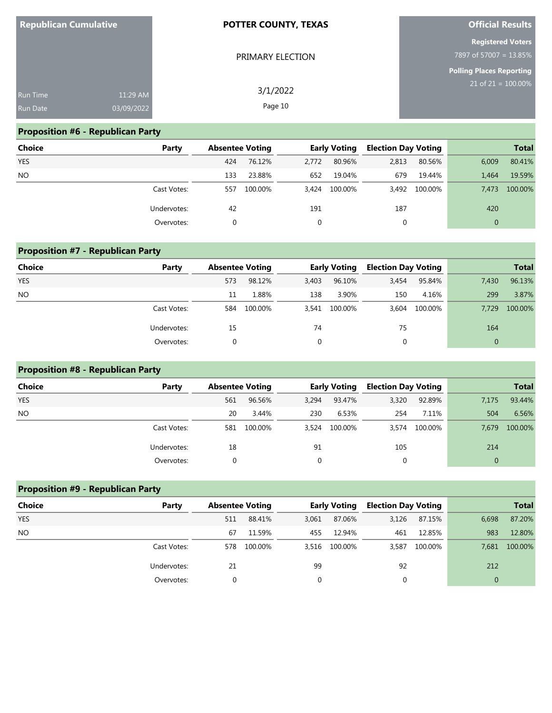| <b>Republican Cumulative</b> |            | <b>POTTER COUNTY, TEXAS</b> | <b>Official Results</b>                            |
|------------------------------|------------|-----------------------------|----------------------------------------------------|
|                              |            | PRIMARY ELECTION            | <b>Registered Voters</b><br>7897 of 57007 = 13.85% |
|                              |            |                             | Polling Places Reporting                           |
| <b>Run Time</b>              | 11:29 AM   | 3/1/2022                    | $21$ of $21 = 100.00\%$                            |
| <b>Run Date</b>              | 03/09/2022 | Page 10                     |                                                    |

# **Proposition #6 - Republican Party**

| <b>Choice</b> | Party       | <b>Absentee Voting</b> |         |       | <b>Early Voting</b> | <b>Election Day Voting</b> |               |              | <b>Total</b> |
|---------------|-------------|------------------------|---------|-------|---------------------|----------------------------|---------------|--------------|--------------|
| <b>YES</b>    |             | 424                    | 76.12%  | 2.772 | 80.96%              | 2,813                      | 80.56%        | 6.009        | 80.41%       |
| <b>NO</b>     |             | 133                    | 23.88%  | 652   | 19.04%              | 679                        | 19.44%        | 1.464        | 19.59%       |
|               | Cast Votes: | 557                    | 100.00% |       | 3,424 100.00%       |                            | 3,492 100.00% | 7.473        | 100.00%      |
|               | Undervotes: | 42                     |         | 191   |                     | 187                        |               | 420          |              |
|               | Overvotes:  |                        |         | 0     |                     | 0                          |               | $\mathbf{0}$ |              |

# **Proposition #7 - Republican Party Choice Party Absentee Voting Early Voting Election Day Voting Total** YES 573 98.12% 3,403 96.10% 3,454 95.84% 7,430 96.13% NO 11 1.88% 138 3.90% 150 4.16% 299 3.87% Cast Votes: 584 100.00% 3,541 100.00% 3,604 100.00% 7,729 100.00% Undervotes: 15 74 75 164 Overvotes: 0 0 0 0

## **Proposition #8 - Republican Party**

| Choice     | Party       | <b>Absentee Voting</b> |         |          | <b>Early Voting</b> | <b>Election Day Voting</b> |               |              | <b>Total</b> |
|------------|-------------|------------------------|---------|----------|---------------------|----------------------------|---------------|--------------|--------------|
| <b>YES</b> |             | 561                    | 96.56%  | 3,294    | 93.47%              | 3,320                      | 92.89%        | 7,175        | 93.44%       |
| <b>NO</b>  |             | 20                     | 3.44%   | 230      | 6.53%               | 254                        | 7.11%         | 504          | 6.56%        |
|            | Cast Votes: | 581                    | 100.00% | 3.524    | 100.00%             |                            | 3,574 100.00% | 7.679        | 100.00%      |
|            | Undervotes: | 18                     |         | 91       |                     | 105                        |               | 214          |              |
|            | Overvotes:  |                        |         | $\Omega$ |                     | 0                          |               | $\mathbf{0}$ |              |

| <b>Proposition #9 - Republican Party</b> |             |                        |         |       |                     |                            |         |              |              |
|------------------------------------------|-------------|------------------------|---------|-------|---------------------|----------------------------|---------|--------------|--------------|
| Choice                                   | Party       | <b>Absentee Voting</b> |         |       | <b>Early Voting</b> | <b>Election Day Voting</b> |         |              | <b>Total</b> |
| <b>YES</b>                               |             | 511                    | 88.41%  | 3,061 | 87.06%              | 3,126                      | 87.15%  | 6,698        | 87.20%       |
| <b>NO</b>                                |             | 67                     | 11.59%  | 455   | 12.94%              | 461                        | 12.85%  | 983          | 12.80%       |
|                                          | Cast Votes: | 578                    | 100.00% |       | 3.516 100.00%       | 3.587                      | 100.00% | 7.681        | 100.00%      |
|                                          | Undervotes: | 21                     |         | 99    |                     | 92                         |         | 212          |              |
|                                          | Overvotes:  | 0                      |         |       |                     | 0                          |         | $\mathbf{0}$ |              |